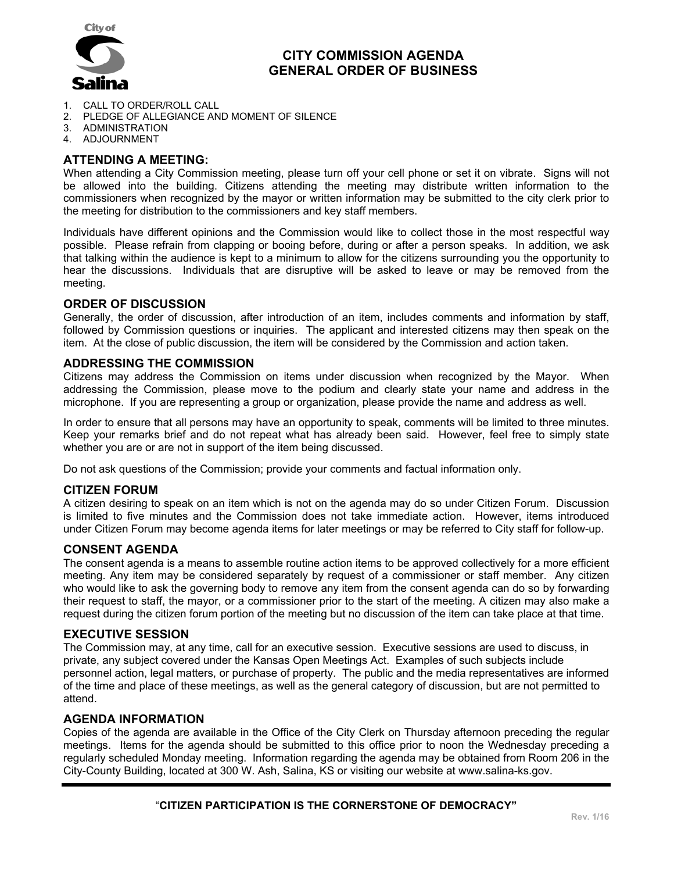

## **CITY COMMISSION AGENDA GENERAL ORDER OF BUSINESS**

- 1. CALL TO ORDER/ROLL CALL
- 2. PLEDGE OF ALLEGIANCE AND MOMENT OF SILENCE
- 3. ADMINISTRATION
- 4. ADJOURNMENT

## **ATTENDING A MEETING:**

When attending a City Commission meeting, please turn off your cell phone or set it on vibrate. Signs will not be allowed into the building. Citizens attending the meeting may distribute written information to the commissioners when recognized by the mayor or written information may be submitted to the city clerk prior to the meeting for distribution to the commissioners and key staff members.

Individuals have different opinions and the Commission would like to collect those in the most respectful way possible. Please refrain from clapping or booing before, during or after a person speaks. In addition, we ask that talking within the audience is kept to a minimum to allow for the citizens surrounding you the opportunity to hear the discussions. Individuals that are disruptive will be asked to leave or may be removed from the meeting.

### **ORDER OF DISCUSSION**

Generally, the order of discussion, after introduction of an item, includes comments and information by staff, followed by Commission questions or inquiries. The applicant and interested citizens may then speak on the item. At the close of public discussion, the item will be considered by the Commission and action taken.

### **ADDRESSING THE COMMISSION**

Citizens may address the Commission on items under discussion when recognized by the Mayor. When addressing the Commission, please move to the podium and clearly state your name and address in the microphone. If you are representing a group or organization, please provide the name and address as well.

In order to ensure that all persons may have an opportunity to speak, comments will be limited to three minutes. Keep your remarks brief and do not repeat what has already been said. However, feel free to simply state whether you are or are not in support of the item being discussed.

Do not ask questions of the Commission; provide your comments and factual information only.

#### **CITIZEN FORUM**

A citizen desiring to speak on an item which is not on the agenda may do so under Citizen Forum. Discussion is limited to five minutes and the Commission does not take immediate action. However, items introduced under Citizen Forum may become agenda items for later meetings or may be referred to City staff for follow-up.

#### **CONSENT AGENDA**

The consent agenda is a means to assemble routine action items to be approved collectively for a more efficient meeting. Any item may be considered separately by request of a commissioner or staff member. Any citizen who would like to ask the governing body to remove any item from the consent agenda can do so by forwarding their request to staff, the mayor, or a commissioner prior to the start of the meeting. A citizen may also make a request during the citizen forum portion of the meeting but no discussion of the item can take place at that time.

#### **EXECUTIVE SESSION**

The Commission may, at any time, call for an executive session. Executive sessions are used to discuss, in private, any subject covered under the Kansas Open Meetings Act. Examples of such subjects include personnel action, legal matters, or purchase of property. The public and the media representatives are informed of the time and place of these meetings, as well as the general category of discussion, but are not permitted to attend.

#### **AGENDA INFORMATION**

Copies of the agenda are available in the Office of the City Clerk on Thursday afternoon preceding the regular meetings. Items for the agenda should be submitted to this office prior to noon the Wednesday preceding a regularly scheduled Monday meeting. Information regarding the agenda may be obtained from Room 206 in the City-County Building, located at 300 W. Ash, Salina, KS or visiting our website at www.salina-ks.gov.